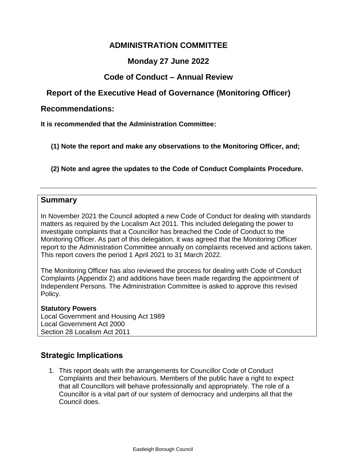## **ADMINISTRATION [COMMITTEE](#page-0-0)**

### **Monday 27 June 2022**

#### **Code of Conduct – Annual Review**

# <span id="page-0-0"></span>**Report of the Executive Head of Governance (Monitoring Officer)**

#### **Recommendations:**

<span id="page-0-1"></span>**[It is recommended that the Administration Committee:](#page-0-1)**

**(1) Note the report and make any observations to the Monitoring Officer, and;**

**(2) Note and agree the updates to the Code of Conduct Complaints Procedure.**

#### <span id="page-0-2"></span>**[Summary](#page-0-2)**

In November 2021 the Council adopted a new Code of Conduct for dealing with standards matters as required by the Localism Act 2011. This included delegating the power to investigate complaints that a Councillor has breached the Code of Conduct to the Monitoring Officer. As part of this delegation, it was agreed that the Monitoring Officer report to the Administration Committee annually on complaints received and actions taken. This report covers the period 1 April 2021 to 31 March 2022.

The Monitoring Officer has also reviewed the process for dealing with Code of Conduct Complaints (Appendix 2) and additions have been made regarding the appointment of Independent Persons. The Administration Committee is asked to approve this revised Policy.

<span id="page-0-3"></span>**[Statutory Powers](#page-0-3)** Local Government and Housing Act 1989 Local Government Act 2000 Section 28 Localism Act 2011

## <span id="page-0-4"></span>**Strategic Implications**

1. This report deals with the arrangements for Councillor Code of Conduct Complaints and their behaviours. Members of the public have a right to expect that all Councillors will behave professionally and appropriately. The role of a Councillor is a vital part of our system of democracy and underpins all that the Council does.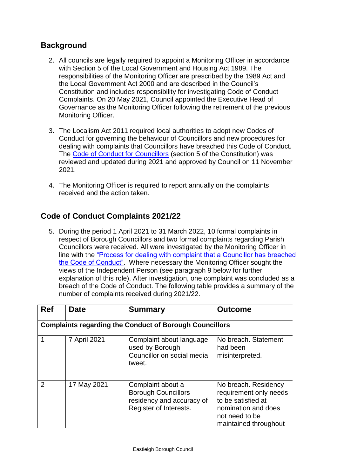# **[Background](#page-0-4)**

- 2. All councils are legally required to appoint a Monitoring Officer in accordance with Section 5 of the Local Government and Housing Act 1989. The responsibilities of the Monitoring Officer are prescribed by the 1989 Act and the Local Government Act 2000 and are described in the Council's Constitution and includes responsibility for investigating Code of Conduct Complaints. On 20 May 2021, Council appointed the Executive Head of Governance as the Monitoring Officer following the retirement of the previous Monitoring Officer.
- 3. The Localism Act 2011 required local authorities to adopt new Codes of Conduct for governing the behaviour of Councillors and new procedures for dealing with complaints that Councillors have breached this Code of Conduct. The [Code of Conduct for Councillors](https://www.eastleigh.gov.uk/media/10491/part-5-codes-and-protocols.pdf) (section 5 of the Constitution) was reviewed and updated during 2021 and approved by Council on 11 November 2021.
- 4. The Monitoring Officer is required to report annually on the complaints received and the action taken.

# **Code of Conduct Complaints 2021/22**

5. During the period 1 April 2021 to 31 March 2022, 10 formal complaints in respect of Borough Councillors and two formal complaints regarding Parish Councillors were received. All were investigated by the Monitoring Officer in line with the ["Process for dealing with complaint that a Councillor has breached](https://www.eastleigh.gov.uk/media/1970/members-code-of-conduct-complaint.pdf)  [the Code of Conduct".](https://www.eastleigh.gov.uk/media/1970/members-code-of-conduct-complaint.pdf) Where necessary the Monitoring Officer sought the views of the Independent Person (see paragraph 9 below for further explanation of this role). After investigation, one complaint was concluded as a breach of the Code of Conduct. The following table provides a summary of the number of complaints received during 2021/22.

| <b>Ref</b>                                                     | <b>Date</b>  | <b>Summary</b>                                                                                         | <b>Outcome</b>                                                                                                                         |
|----------------------------------------------------------------|--------------|--------------------------------------------------------------------------------------------------------|----------------------------------------------------------------------------------------------------------------------------------------|
| <b>Complaints regarding the Conduct of Borough Councillors</b> |              |                                                                                                        |                                                                                                                                        |
|                                                                | 7 April 2021 | Complaint about language<br>used by Borough<br>Councillor on social media<br>tweet.                    | No breach. Statement<br>had been<br>misinterpreted.                                                                                    |
| $\overline{2}$                                                 | 17 May 2021  | Complaint about a<br><b>Borough Councillors</b><br>residency and accuracy of<br>Register of Interests. | No breach. Residency<br>requirement only needs<br>to be satisfied at<br>nomination and does<br>not need to be<br>maintained throughout |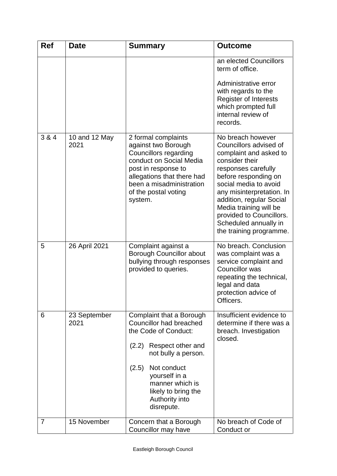| <b>Ref</b> | <b>Date</b>           | Summary                                                                                                                                                                                                                                                    | <b>Outcome</b>                                                                                                                                                                                                                                                                                                                     |
|------------|-----------------------|------------------------------------------------------------------------------------------------------------------------------------------------------------------------------------------------------------------------------------------------------------|------------------------------------------------------------------------------------------------------------------------------------------------------------------------------------------------------------------------------------------------------------------------------------------------------------------------------------|
|            |                       |                                                                                                                                                                                                                                                            | an elected Councillors<br>term of office.<br>Administrative error<br>with regards to the<br>Register of Interests<br>which prompted full<br>internal review of<br>records.                                                                                                                                                         |
| 3 & 4      | 10 and 12 May<br>2021 | 2 formal complaints<br>against two Borough<br>Councillors regarding<br>conduct on Social Media<br>post in response to<br>allegations that there had<br>been a misadministration<br>of the postal voting<br>system.                                         | No breach however<br>Councillors advised of<br>complaint and asked to<br>consider their<br>responses carefully<br>before responding on<br>social media to avoid<br>any misinterpretation. In<br>addition, regular Social<br>Media training will be<br>provided to Councillors.<br>Scheduled annually in<br>the training programme. |
| 5          | 26 April 2021         | Complaint against a<br><b>Borough Councillor about</b><br>bullying through responses<br>provided to queries.                                                                                                                                               | No breach. Conclusion<br>was complaint was a<br>service complaint and<br>Councillor was<br>repeating the technical,<br>legal and data<br>protection advice of<br>Officers.                                                                                                                                                         |
| 6          | 23 September<br>2021  | Complaint that a Borough<br><b>Councillor had breached</b><br>the Code of Conduct:<br>Respect other and<br>(2.2)<br>not bully a person.<br>Not conduct<br>(2.5)<br>yourself in a<br>manner which is<br>likely to bring the<br>Authority into<br>disrepute. | Insufficient evidence to<br>determine if there was a<br>breach. Investigation<br>closed.                                                                                                                                                                                                                                           |
| 7          | 15 November           | Concern that a Borough<br>Councillor may have                                                                                                                                                                                                              | No breach of Code of<br>Conduct or                                                                                                                                                                                                                                                                                                 |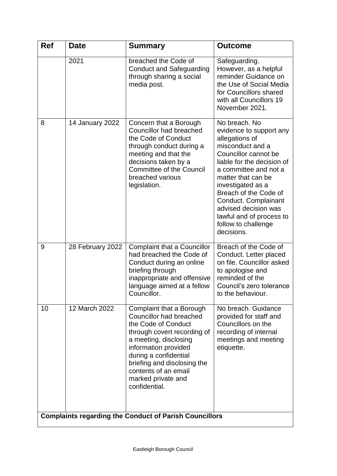| <b>Ref</b>                                                    | <b>Date</b>      | <b>Summary</b>                                                                                                                                                                                                                                                                           | <b>Outcome</b>                                                                                                                                                                                                                                                                                                                                     |
|---------------------------------------------------------------|------------------|------------------------------------------------------------------------------------------------------------------------------------------------------------------------------------------------------------------------------------------------------------------------------------------|----------------------------------------------------------------------------------------------------------------------------------------------------------------------------------------------------------------------------------------------------------------------------------------------------------------------------------------------------|
|                                                               | 2021             | breached the Code of<br><b>Conduct and Safeguarding</b><br>through sharing a social<br>media post.                                                                                                                                                                                       | Safeguarding.<br>However, as a helpful<br>reminder Guidance on<br>the Use of Social Media<br>for Councillors shared<br>with all Councillors 19<br>November 2021.                                                                                                                                                                                   |
| 8                                                             | 14 January 2022  | Concern that a Borough<br>Councillor had breached<br>the Code of Conduct<br>through conduct during a<br>meeting and that the<br>decisions taken by a<br><b>Committee of the Council</b><br>breached various<br>legislation.                                                              | No breach. No<br>evidence to support any<br>allegations of<br>misconduct and a<br>Councillor cannot be<br>liable for the decision of<br>a committee and not a<br>matter that can be<br>investigated as a<br>Breach of the Code of<br>Conduct. Complainant<br>advised decision was<br>lawful and of process to<br>follow to challenge<br>decisions. |
| 9                                                             | 28 February 2022 | Complaint that a Councillor<br>had breached the Code of<br>Conduct during an online<br>briefing through<br>inappropriate and offensive<br>language aimed at a fellow<br>Councillor.                                                                                                      | Breach of the Code of<br>Conduct. Letter placed<br>on file. Councillor asked<br>to apologise and<br>reminded of the<br>Council's zero tolerance<br>to the behaviour.                                                                                                                                                                               |
| 10                                                            | 12 March 2022    | Complaint that a Borough<br><b>Councillor had breached</b><br>the Code of Conduct<br>through covert recording of<br>a meeting, disclosing<br>information provided<br>during a confidential<br>briefing and disclosing the<br>contents of an email<br>marked private and<br>confidential. | No breach. Guidance<br>provided for staff and<br>Councillors on the<br>recording of internal<br>meetings and meeting<br>etiquette.                                                                                                                                                                                                                 |
| <b>Complaints regarding the Conduct of Parish Councillors</b> |                  |                                                                                                                                                                                                                                                                                          |                                                                                                                                                                                                                                                                                                                                                    |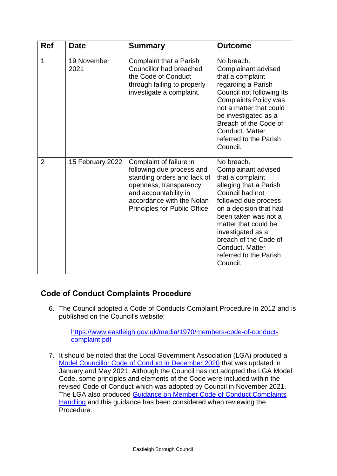| <b>Ref</b>     | <b>Date</b>         | <b>Summary</b>                                                                                                                                                                                       | <b>Outcome</b>                                                                                                                                                                                                                                                                                              |
|----------------|---------------------|------------------------------------------------------------------------------------------------------------------------------------------------------------------------------------------------------|-------------------------------------------------------------------------------------------------------------------------------------------------------------------------------------------------------------------------------------------------------------------------------------------------------------|
| $\mathbf{1}$   | 19 November<br>2021 | Complaint that a Parish<br><b>Councillor had breached</b><br>the Code of Conduct<br>through failing to properly<br>investigate a complaint.                                                          | No breach.<br>Complainant advised<br>that a complaint<br>regarding a Parish<br>Council not following its<br><b>Complaints Policy was</b><br>not a matter that could<br>be investigated as a<br>Breach of the Code of<br>Conduct. Matter<br>referred to the Parish<br>Council.                               |
| $\overline{2}$ | 15 February 2022    | Complaint of failure in<br>following due process and<br>standing orders and lack of<br>openness, transparency<br>and accountability in<br>accordance with the Nolan<br>Principles for Public Office. | No breach.<br>Complainant advised<br>that a complaint<br>alleging that a Parish<br>Council had not<br>followed due process<br>on a decision that had<br>been taken was not a<br>matter that could be<br>investigated as a<br>breach of the Code of<br>Conduct. Matter<br>referred to the Parish<br>Council. |

## **Code of Conduct Complaints Procedure**

6. The Council adopted a Code of Conducts Complaint Procedure in 2012 and is published on the Council's website:

[https://www.eastleigh.gov.uk/media/1970/members-code-of-conduct](https://www.eastleigh.gov.uk/media/1970/members-code-of-conduct-complaint.pdf)[complaint.pdf](https://www.eastleigh.gov.uk/media/1970/members-code-of-conduct-complaint.pdf)

7. It should be noted that the Local Government Association (LGA) produced a [Model Councillor Code of Conduct in December 2020](https://www.local.gov.uk/sites/default/files/documents/Local%20Government%20Association%20Model%20Councillor%20Code%20of%20Conduct%202020%20WEB.pdf) that was updated in January and May 2021. Although the Council has not adopted the LGA Model Code, some principles and elements of the Code were included within the revised Code of Conduct which was adopted by Council in November 2021. The LGA also produced [Guidance on Member Code of Conduct Complaints](https://www.local.gov.uk/publications/guidance-member-model-code-conduct-complaints-handling)  [Handling](https://www.local.gov.uk/publications/guidance-member-model-code-conduct-complaints-handling) and this guidance has been considered when reviewing the Procedure.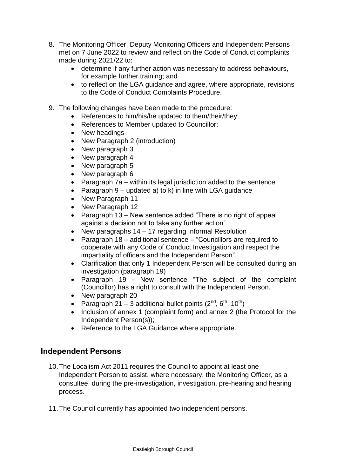- 8. The Monitoring Officer, Deputy Monitoring Officers and Independent Persons met on 7 June 2022 to review and reflect on the Code of Conduct complaints made during 2021/22 to:
	- determine if any further action was necessary to address behaviours, for example further training; and
	- to reflect on the LGA guidance and agree, where appropriate, revisions to the Code of Conduct Complaints Procedure.
- 9. The following changes have been made to the procedure:
	- References to him/his/he updated to them/their/they;
	- References to Member updated to Councillor;
	- New headings
	- New Paragraph 2 (introduction)
	- New paragraph 3
	- New paragraph 4
	- New paragraph 5
	- New paragraph 6
	- Paragraph  $7a$  within its legal jurisdiction added to the sentence
	- Paragraph  $9$  updated a) to k) in line with LGA guidance
	- New Paragraph 11
	- New Paragraph 12
	- Paragraph 13 New sentence added "There is no right of appeal against a decision not to take any further action".
	- New paragraphs 14 17 regarding Informal Resolution
	- Paragraph 18 additional sentence "Councillors are required to cooperate with any Code of Conduct Investigation and respect the impartiality of officers and the Independent Person".
	- Clarification that only 1 Independent Person will be consulted during an investigation (paragraph 19)
	- Paragraph 19 New sentence "The subject of the complaint (Councillor) has a right to consult with the Independent Person.
	- New paragraph 20
	- Paragraph 21 3 additional bullet points  $(2^{nd}, 6^{th}, 10^{th})$
	- Inclusion of annex 1 (complaint form) and annex 2 (the Protocol for the Independent Person(s));
	- Reference to the LGA Guidance where appropriate.

#### **Independent Persons**

- 10.The Localism Act 2011 requires the Council to appoint at least one Independent Person to assist, where necessary, the Monitoring Officer, as a consultee, during the pre-investigation, investigation, pre-hearing and hearing process.
- 11.The Council currently has appointed two independent persons.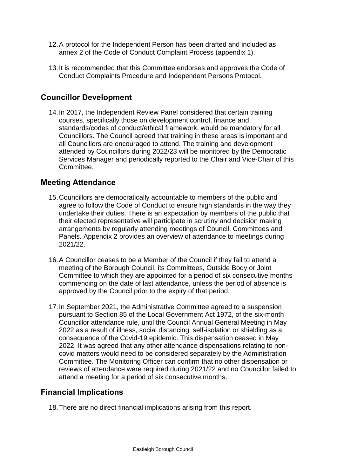- 12.A protocol for the Independent Person has been drafted and included as annex 2 of the Code of Conduct Complaint Process (appendix 1).
- 13.It is recommended that this Committee endorses and approves the Code of Conduct Complaints Procedure and Independent Persons Protocol.

# **Councillor Development**

14.In 2017, the Independent Review Panel considered that certain training courses, specifically those on development control, finance and standards/codes of conduct/ethical framework, would be mandatory for all Councillors. The Council agreed that training in these areas is important and all Councillors are encouraged to attend. The training and development attended by Councillors during 2022/23 will be monitored by the Democratic Services Manager and periodically reported to the Chair and Vice-Chair of this Committee.

### **Meeting Attendance**

- 15.Councillors are democratically accountable to members of the public and agree to follow the Code of Conduct to ensure high standards in the way they undertake their duties. There is an expectation by members of the public that their elected representative will participate in scrutiny and decision making arrangements by regularly attending meetings of Council, Committees and Panels. Appendix 2 provides an overview of attendance to meetings during 2021/22.
- 16.A Councillor ceases to be a Member of the Council if they fail to attend a meeting of the Borough Council, its Committees, Outside Body or Joint Committee to which they are appointed for a period of six consecutive months commencing on the date of last attendance, unless the period of absence is approved by the Council prior to the expiry of that period.
- 17.In September 2021, the Administrative Committee agreed to a suspension pursuant to Section 85 of the Local Government Act 1972, of the six-month Councillor attendance rule, until the Council Annual General Meeting in May 2022 as a result of illness, social distancing, self-isolation or shielding as a consequence of the Covid-19 epidemic. This dispensation ceased in May 2022. It was agreed that any other attendance dispensations relating to noncovid matters would need to be considered separately by the Administration Committee. The Monitoring Officer can confirm that no other dispensation or reviews of attendance were required during 2021/22 and no Councillor failed to attend a meeting for a period of six consecutive months.

#### **Financial Implications**

<span id="page-6-0"></span>18.There are no direct financial implications arising from this report.